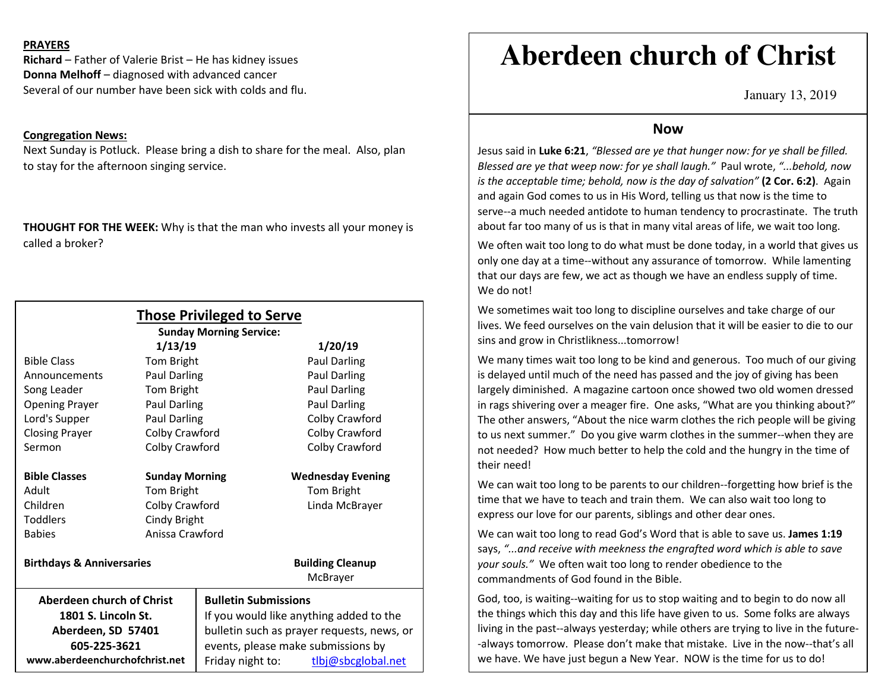## **PRAYERS**

**Richard** – Father of Valerie Brist – He has kidney issues **Donna Melhoff** – diagnosed with advanced cancer Several of our number have been sick with colds and flu.

## **Congregation News:**

Next Sunday is Potluck. Please bring a dish to share for the meal. Also, plan to stay for the afternoon singing service.

**THOUGHT FOR THE WEEK:** Why is that the man who invests all your money is called a broker?

|                                      |                       | <b>Those Privileged to Serve</b><br><b>Sunday Morning Service:</b> |                          |  |
|--------------------------------------|-----------------------|--------------------------------------------------------------------|--------------------------|--|
|                                      | 1/13/19               |                                                                    | 1/20/19                  |  |
| <b>Bible Class</b>                   | Tom Bright            |                                                                    | Paul Darling             |  |
| Announcements                        | Paul Darling          |                                                                    | <b>Paul Darling</b>      |  |
| Song Leader                          | Tom Bright            |                                                                    | <b>Paul Darling</b>      |  |
| <b>Opening Prayer</b>                | <b>Paul Darling</b>   |                                                                    | Paul Darling             |  |
| Lord's Supper                        | Paul Darling          |                                                                    | Colby Crawford           |  |
| <b>Closing Prayer</b>                | Colby Crawford        |                                                                    | Colby Crawford           |  |
| Sermon                               | Colby Crawford        |                                                                    | Colby Crawford           |  |
| <b>Bible Classes</b>                 | <b>Sunday Morning</b> |                                                                    | <b>Wednesday Evening</b> |  |
| Adult                                | Tom Bright            |                                                                    | Tom Bright               |  |
| Children                             | Colby Crawford        |                                                                    | Linda McBrayer           |  |
| <b>Toddlers</b>                      | Cindy Bright          |                                                                    |                          |  |
| <b>Babies</b>                        | Anissa Crawford       |                                                                    |                          |  |
| <b>Birthdays &amp; Anniversaries</b> |                       |                                                                    | <b>Building Cleanup</b>  |  |
|                                      |                       |                                                                    | McBrayer                 |  |
| Aberdeen church of Christ            |                       | <b>Bulletin Submissions</b>                                        |                          |  |
| 1801 S. Lincoln St.                  |                       | If you would like anything added to the                            |                          |  |
| Aberdeen, SD 57401                   |                       | bulletin such as prayer requests, news, or                         |                          |  |
| 605-225-3621                         |                       | events, please make submissions by                                 |                          |  |
| www.aberdeenchurchofchrist.net       |                       | Friday night to:                                                   | tlbj@sbcglobal.net       |  |

# **Aberdeen church of Christ**

January 13, 2019

## **Now**

 Jesus said in **Luke 6:21**, *"Blessed are ye that hunger now: for ye shall be filled. Blessed are ye that weep now: for ye shall laugh."* Paul wrote, *"...behold, now is the acceptable time; behold, now is the day of salvation"* **(2 Cor. 6:2)**. Again and again God comes to us in His Word, telling us that now is the time to serve--a much needed antidote to human tendency to procrastinate. The truth about far too many of us is that in many vital areas of life, we wait too long.

We often wait too long to do what must be done today, in a world that gives us only one day at a time--without any assurance of tomorrow. While lamenting that our days are few, we act as though we have an endless supply of time. We do not!

We sometimes wait too long to discipline ourselves and take charge of our lives. We feed ourselves on the vain delusion that it will be easier to die to our sins and grow in Christlikness...tomorrow!

We many times wait too long to be kind and generous. Too much of our giving is delayed until much of the need has passed and the joy of giving has been largely diminished. A magazine cartoon once showed two old women dressed in rags shivering over a meager fire. One asks, "What are you thinking about?" The other answers, "About the nice warm clothes the rich people will be giving to us next summer." Do you give warm clothes in the summer--when they are not needed? How much better to help the cold and the hungry in the time of their need!

We can wait too long to be parents to our children--forgetting how brief is the time that we have to teach and train them. We can also wait too long to express our love for our parents, siblings and other dear ones.

We can wait too long to read God's Word that is able to save us. **James 1:19** says, *"...and receive with meekness the engrafted word which is able to save your souls."* We often wait too long to render obedience to the commandments of God found in the Bible.

God, too, is waiting--waiting for us to stop waiting and to begin to do now all the things which this day and this life have given to us. Some folks are always living in the past--always yesterday; while others are trying to live in the future--always tomorrow. Please don't make that mistake. Live in the now--that's all we have. We have just begun a New Year. NOW is the time for us to do!